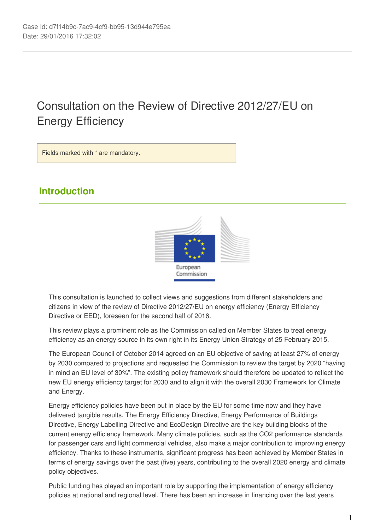# Consultation on the Review of Directive 2012/27/EU on Energy Efficiency

Fields marked with \* are mandatory.

# **Introduction**



This consultation is launched to collect views and suggestions from different stakeholders and citizens in view of the review of Directive 2012/27/EU on energy efficiency (Energy Efficiency Directive or EED), foreseen for the second half of 2016.

This review plays a prominent role as the Commission called on Member States to treat energy efficiency as an energy source in its own right in its Energy Union Strategy of 25 February 2015.

The European Council of October 2014 agreed on an EU objective of saving at least 27% of energy by 2030 compared to projections and requested the Commission to review the target by 2020 "having in mind an EU level of 30%". The existing policy framework should therefore be updated to reflect the new EU energy efficiency target for 2030 and to align it with the overall 2030 Framework for Climate and Energy.

Energy efficiency policies have been put in place by the EU for some time now and they have delivered tangible results. The Energy Efficiency Directive, Energy Performance of Buildings Directive, Energy Labelling Directive and EcoDesign Directive are the key building blocks of the current energy efficiency framework. Many climate policies, such as the CO2 performance standards for passenger cars and light commercial vehicles, also make a major contribution to improving energy efficiency. Thanks to these instruments, significant progress has been achieved by Member States in terms of energy savings over the past (five) years, contributing to the overall 2020 energy and climate policy objectives.

Public funding has played an important role by supporting the implementation of energy efficiency policies at national and regional level. There has been an increase in financing over the last years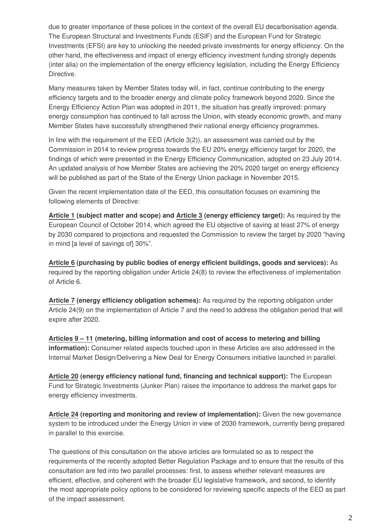due to greater importance of these polices in the context of the overall EU decarbonisation agenda. The European Structural and Investments Funds (ESIF) and the European Fund for Strategic Investments (EFSI) are key to unlocking the needed private investments for energy efficiency. On the other hand, the effectiveness and impact of energy efficiency investment funding strongly depends (inter alia) on the implementation of the energy efficiency legislation, including the Energy Efficiency Directive.

Many measures taken by Member States today will, in fact, continue contributing to the energy efficiency targets and to the broader energy and climate policy framework beyond 2020. Since the Energy Efficiency Action Plan was adopted in 2011, the situation has greatly improved: primary energy consumption has continued to fall across the Union, with steady economic growth, and many Member States have successfully strengthened their national energy efficiency programmes.

In line with the requirement of the EED (Article 3(2)), an assessment was carried out by the Commission in 2014 to review progress towards the EU 20% energy efficiency target for 2020, the findings of which were presented in the Energy Efficiency Communication, adopted on 23 July 2014. An updated analysis of how Member States are achieving the 20% 2020 target on energy efficiency will be published as part of the State of the Energy Union package in November 2015.

Given the recent implementation date of the EED, this consultation focuses on examining the following elements of Directive:

**Article 1 (subject matter and scope) and Article 3 (energy efficiency target):** As required by the European Council of October 2014, which agreed the EU objective of saving at least 27% of energy by 2030 compared to projections and requested the Commission to review the target by 2020 "having in mind [a level of savings of] 30%".

**Article 6 (purchasing by public bodies of energy efficient buildings, goods and services):** As required by the reporting obligation under Article 24(8) to review the effectiveness of implementation of Article 6.

**Article 7 (energy efficiency obligation schemes):** As required by the reporting obligation under Article 24(9) on the implementation of Article 7 and the need to address the obligation period that will expire after 2020.

**Articles 9 – 11 (metering, billing information and cost of access to metering and billing information):** Consumer related aspects touched upon in these Articles are also addressed in the Internal Market Design/Delivering a New Deal for Energy Consumers initiative launched in parallel.

**Article 20 (energy efficiency national fund, financing and technical support):** The European Fund for Strategic Investments (Junker Plan) raises the importance to address the market gaps for energy efficiency investments.

**Article 24 (reporting and monitoring and review of implementation):** Given the new governance system to be introduced under the Energy Union in view of 2030 framework, currently being prepared in parallel to this exercise.

The questions of this consultation on the above articles are formulated so as to respect the requirements of the recently adopted Better Regulation Package and to ensure that the results of this consultation are fed into two parallel processes: first, to assess whether relevant measures are efficient, effective, and coherent with the broader EU legislative framework, and second, to identify the most appropriate policy options to be considered for reviewing specific aspects of the EED as part of the impact assessment.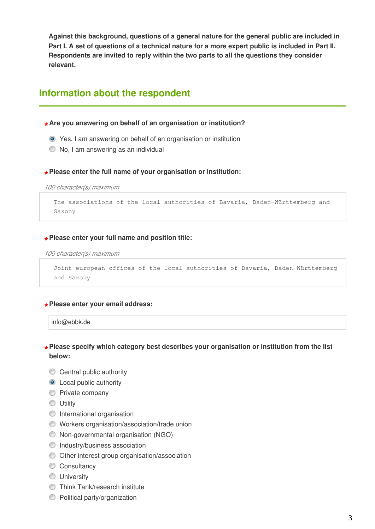**Against this background, questions of a general nature for the general public are included in Part I. A set of questions of a technical nature for a more expert public is included in Part II. Respondents are invited to reply within the two parts to all the questions they consider relevant.**

## **Information about the respondent**

**\* Are you answering on behalf of an organisation or institution?**

- Yes, I am answering on behalf of an organisation or institution
- $\bullet$  No, I am answering as an individual

# **\* Please enter the full name of your organisation or institution:**

*100 character(s) maximum* 

```
The associations of the local authorities of Bavaria, Baden-Württemberg and
Saxony
```
# **\* Please enter your full name and position title:**

*100 character(s) maximum* 

```
Joint european offices of the local authorities of Bavaria, Baden-Württemberg
and Saxony
```
# **\* Please enter your email address:**

info@ebbk.de

### **\* Please specify which category best describes your organisation or institution from the list below:**

- **Central public authority**
- **O** Local public authority
- **Private company**
- **O** Utility
- **International organisation**
- Workers organisation/association/trade union
- Non-governmental organisation (NGO)
- **Industry/business association**
- Other interest group organisation/association
- Consultancy
- **University**
- **Think Tank/research institute**
- **C** Political party/organization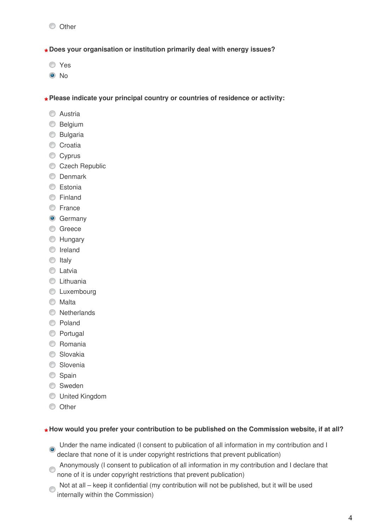**\* Does your organisation or institution primarily deal with energy issues?**

- Yes
- <sup>O</sup>No

**\* Please indicate your principal country or countries of residence or activity:**

- **C** Austria
- **Belgium**
- **Bulgaria**
- Croatia
- Cyprus
- Czech Republic
- **C** Denmark
- **C** Estonia
- **C** Finland
- **E**rance
- **G** Germany
- **C** Greece
- **C** Hungary
- **O** Ireland
- $\circ$  Italy
- **C** Latvia
- **C** Lithuania
- **C** Luxembourg
- **Malta**
- **Netherlands**
- C Poland
- **O** Portugal
- **C** Romania
- **Slovakia**
- **Slovenia**
- Spain
- **Sweden**
- United Kingdom
- **O** Other

# **\* How would you prefer your contribution to be published on the Commission website, if at all?**

- O Under the name indicated (I consent to publication of all information in my contribution and I declare that none of it is under copyright restrictions that prevent publication)
- Anonymously (I consent to publication of all information in my contribution and I declare that none of it is under copyright restrictions that prevent publication)
- Not at all keep it confidential (my contribution will not be published, but it will be used internally within the Commission)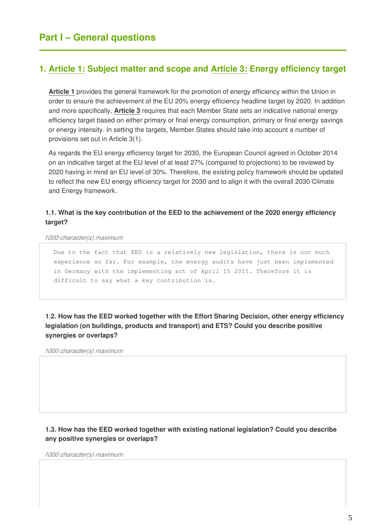### **1. Article 1: Subject matter and scope and Article 3: Energy efficiency target**

**Article 1** provides the general framework for the promotion of energy efficiency within the Union in order to ensure the achievement of the EU 20% energy efficiency headline target by 2020. In addition and more specifically, **Article 3** requires that each Member State sets an indicative national energy efficiency target based on either primary or final energy consumption, primary or final energy savings or energy intensity. In setting the targets, Member States should take into account a number of provisions set out in Article 3(1).

As regards the EU energy efficiency target for 2030, the European Council agreed in October 2014 on an indicative target at the EU level of at least 27% (compared to projections) to be reviewed by 2020 having in mind an EU level of 30%. Therefore, the existing policy framework should be updated to reflect the new EU energy efficiency target for 2030 and to align it with the overall 2030 Climate and Energy framework.

### **1.1. What is the key contribution of the EED to the achievement of the 2020 energy efficiency target?**

*1000 character(s) maximum* 

Due to the fact that EED is a relatively new legislation, there is not much experience so far. For example, the energy audits have just been implemented in Germany with the implementing act of April 15 2015. Therefore it is difficult to say what a key contribution is.

**1.2. How has the EED worked together with the Effort Sharing Decision, other energy efficiency legislation (on buildings, products and transport) and ETS? Could you describe positive synergies or overlaps?**

*1000 character(s) maximum* 

### **1.3. How has the EED worked together with existing national legislation? Could you describe any positive synergies or overlaps?**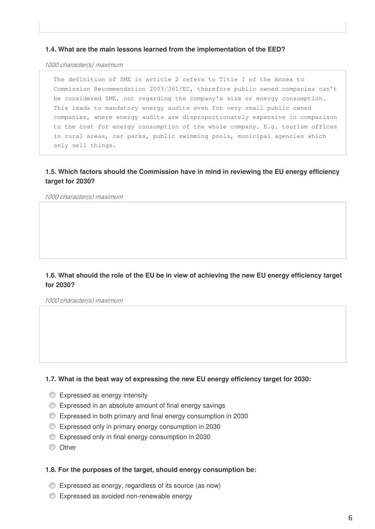#### **1.4. What are the main lessons learned from the implementation of the EED?**

*1000 character(s) maximum* 

The definition of SME in article 2 refers to Title I of the Annex to Commission Recommendation 2003/361/EC, therefore public owned companies can't be considered SME, not regarding the company's size or energy consumption. This leads to mandatory energy audits even for very small public owned companies, where energy audits are disproportionately expensive in comparison to the cost for energy consumption of the whole company. E.g. tourism offices in rural areas, car parks, public swimming pools, municipal agencies which only sell things.

### **1.5. Which factors should the Commission have in mind in reviewing the EU energy efficiency target for 2030?**

*1000 character(s) maximum* 

### **1.6. What should the role of the EU be in view of achieving the new EU energy efficiency target for 2030?**

*1000 character(s) maximum* 

#### **1.7. What is the best way of expressing the new EU energy efficiency target for 2030:**

- **Expressed as energy intensity**
- Expressed in an absolute amount of final energy savings
- Expressed in both primary and final energy consumption in 2030
- Expressed only in primary energy consumption in 2030
- Expressed only in final energy consumption in 2030
- **O** Other

#### **1.8. For the purposes of the target, should energy consumption be:**

- Expressed as energy, regardless of its source (as now)
- Expressed as avoided non-renewable energy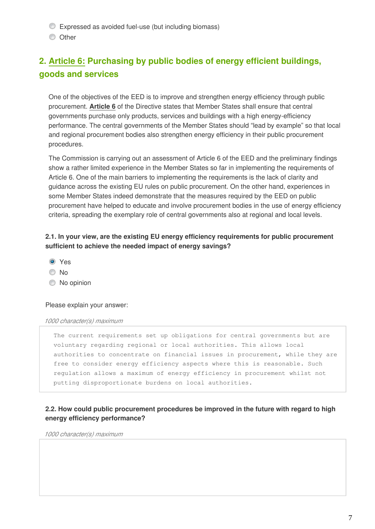- Expressed as avoided fuel-use (but including biomass)
- **O** Other

# **2. Article 6: Purchasing by public bodies of energy efficient buildings, goods and services**

One of the objectives of the EED is to improve and strengthen energy efficiency through public procurement. **Article 6** of the Directive states that Member States shall ensure that central governments purchase only products, services and buildings with a high energy-efficiency performance. The central governments of the Member States should "lead by example" so that local and regional procurement bodies also strengthen energy efficiency in their public procurement procedures.

The Commission is carrying out an assessment of Article 6 of the EED and the preliminary findings show a rather limited experience in the Member States so far in implementing the requirements of Article 6. One of the main barriers to implementing the requirements is the lack of clarity and guidance across the existing EU rules on public procurement. On the other hand, experiences in some Member States indeed demonstrate that the measures required by the EED on public procurement have helped to educate and involve procurement bodies in the use of energy efficiency criteria, spreading the exemplary role of central governments also at regional and local levels.

### **2.1. In your view, are the existing EU energy efficiency requirements for public procurement sufficient to achieve the needed impact of energy savings?**

- **O** Yes
- © No
- $\circledcirc$  No opinion

#### Please explain your answer:

#### *1000 character(s) maximum*

The current requirements set up obligations for central governments but are voluntary regarding regional or local authorities. This allows local authorities to concentrate on financial issues in procurement, while they are free to consider energy efficiency aspects where this is reasonable. Such regulation allows a maximum of energy efficiency in procurement whilst not putting disproportionate burdens on local authorities.

### **2.2. How could public procurement procedures be improved in the future with regard to high energy efficiency performance?**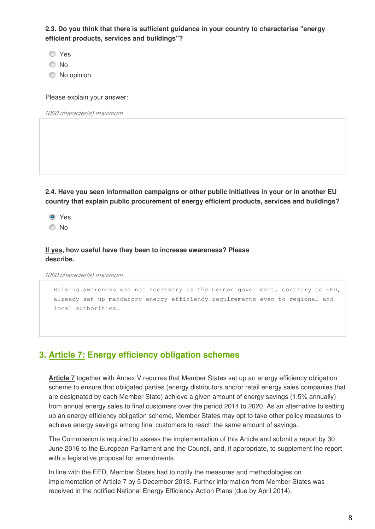**2.3. Do you think that there is sufficient guidance in your country to characterise "energy efficient products, services and buildings"?**

Yes

No

C No opinion

Please explain your answer:

*1000 character(s) maximum* 

**2.4. Have you seen information campaigns or other public initiatives in your or in another EU country that explain public procurement of energy efficient products, services and buildings?** 

**O** Yes

No

### **If yes, how useful have they been to increase awareness? Please describe.**

*1000 character(s) maximum* 

Raising awareness was not necessary as the German government, contrary to EED, already set up mandatory energy efficiency requirements even to regional and local authorities.

## **3. Article 7: Energy efficiency obligation schemes**

**Article 7** together with Annex V requires that Member States set up an energy efficiency obligation scheme to ensure that obligated parties (energy distributors and/or retail energy sales companies that are designated by each Member State) achieve a given amount of energy savings (1.5% annually) from annual energy sales to final customers over the period 2014 to 2020. As an alternative to setting up an energy efficiency obligation scheme, Member States may opt to take other policy measures to achieve energy savings among final customers to reach the same amount of savings.

The Commission is required to assess the implementation of this Article and submit a report by 30 June 2016 to the European Parliament and the Council, and, if appropriate, to supplement the report with a legislative proposal for amendments.

In line with the EED, Member States had to notify the measures and methodologies on implementation of Article 7 by 5 December 2013. Further information from Member States was received in the notified National Energy Efficiency Action Plans (due by April 2014).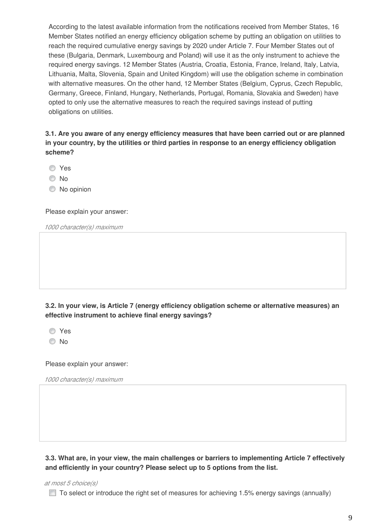According to the latest available information from the notifications received from Member States, 16 Member States notified an energy efficiency obligation scheme by putting an obligation on utilities to reach the required cumulative energy savings by 2020 under Article 7. Four Member States out of these (Bulgaria, Denmark, Luxembourg and Poland) will use it as the only instrument to achieve the required energy savings. 12 Member States (Austria, Croatia, Estonia, France, Ireland, Italy, Latvia, Lithuania, Malta, Slovenia, Spain and United Kingdom) will use the obligation scheme in combination with alternative measures. On the other hand, 12 Member States (Belgium, Cyprus, Czech Republic, Germany, Greece, Finland, Hungary, Netherlands, Portugal, Romania, Slovakia and Sweden) have opted to only use the alternative measures to reach the required savings instead of putting obligations on utilities.

**3.1. Are you aware of any energy efficiency measures that have been carried out or are planned in your country, by the utilities or third parties in response to an energy efficiency obligation scheme?**

Yes

© No

 $\circledcirc$  No opinion

Please explain your answer:

*1000 character(s) maximum* 

**3.2. In your view, is Article 7 (energy efficiency obligation scheme or alternative measures) an effective instrument to achieve final energy savings?**

Yes

No

Please explain your answer:

*1000 character(s) maximum* 

**3.3. What are, in your view, the main challenges or barriers to implementing Article 7 effectively and efficiently in your country? Please select up to 5 options from the list.**

*at most 5 choice(s)*

 $\Box$  To select or introduce the right set of measures for achieving 1.5% energy savings (annually)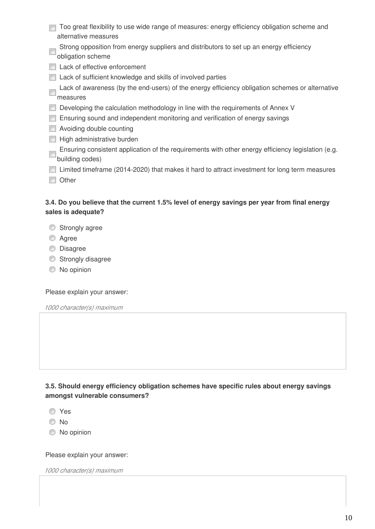| Too great flexibility to use wide range of measures: energy efficiency obligation scheme and                 |
|--------------------------------------------------------------------------------------------------------------|
| alternative measures                                                                                         |
| Strong opposition from energy suppliers and distributors to set up an energy efficiency<br>obligation scheme |
| Lack of effective enforcement                                                                                |
| Lack of sufficient knowledge and skills of involved parties                                                  |
| Lack of awareness (by the end-users) of the energy efficiency obligation schemes or alternative              |
| measures                                                                                                     |
| Developing the calculation methodology in line with the requirements of Annex V                              |
| Ensuring sound and independent monitoring and verification of energy savings                                 |
| Avoiding double counting                                                                                     |
| High administrative burden                                                                                   |
| Ensuring consistent application of the requirements with other energy efficiency legislation (e.g.           |
| building codes)                                                                                              |
| Limited timeframe (2014-2020) that makes it hard to attract investment for long term measures                |
| Other                                                                                                        |

### **3.4. Do you believe that the current 1.5% level of energy savings per year from final energy sales is adequate?**

- **Strongly agree**
- **Agree**
- **Disagree**
- Strongly disagree
- $\bullet$  No opinion

Please explain your answer:

*1000 character(s) maximum* 

**3.5. Should energy efficiency obligation schemes have specific rules about energy savings amongst vulnerable consumers?**

- Yes
- No
- $\bullet$  No opinion

Please explain your answer: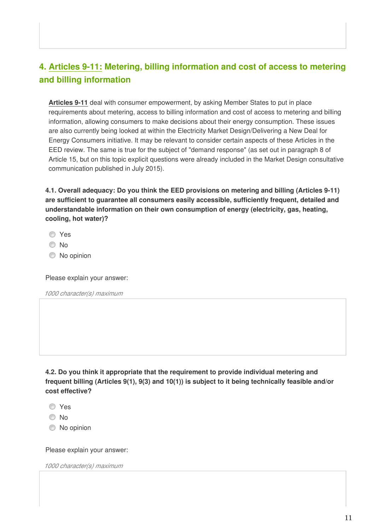# **4. Articles 9-11: Metering, billing information and cost of access to metering and billing information**

**Articles 9-11** deal with consumer empowerment, by asking Member States to put in place requirements about metering, access to billing information and cost of access to metering and billing information, allowing consumers to make decisions about their energy consumption. These issues are also currently being looked at within the Electricity Market Design/Delivering a New Deal for Energy Consumers initiative. It may be relevant to consider certain aspects of these Articles in the EED review. The same is true for the subject of "demand response" (as set out in paragraph 8 of Article 15, but on this topic explicit questions were already included in the Market Design consultative communication published in July 2015).

**4.1. Overall adequacy: Do you think the EED provisions on metering and billing (Articles 9-11) are sufficient to guarantee all consumers easily accessible, sufficiently frequent, detailed and understandable information on their own consumption of energy (electricity, gas, heating, cooling, hot water)?**

- Yes
- No
- C No opinion

Please explain your answer:

*1000 character(s) maximum* 

**4.2. Do you think it appropriate that the requirement to provide individual metering and frequent billing (Articles 9(1), 9(3) and 10(1)) is subject to it being technically feasible and/or cost effective?** 

- Yes
- No
- No opinion

Please explain your answer: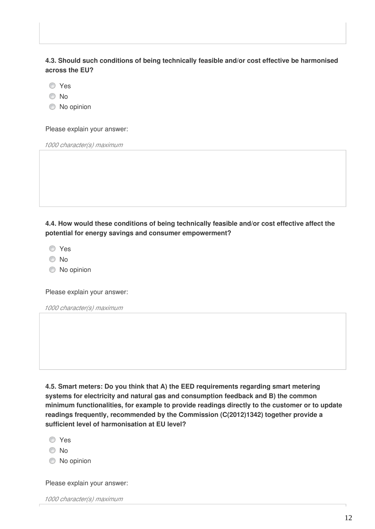### **4.3. Should such conditions of being technically feasible and/or cost effective be harmonised across the EU?**

Yes

No

 $\bullet$  No opinion

Please explain your answer:

*1000 character(s) maximum* 

**4.4. How would these conditions of being technically feasible and/or cost effective affect the potential for energy savings and consumer empowerment?**

Yes

- No
- $\circledcirc$  No opinion

Please explain your answer:

*1000 character(s) maximum* 

**4.5. Smart meters: Do you think that A) the EED requirements regarding smart metering systems for electricity and natural gas and consumption feedback and B) the common minimum functionalities, for example to provide readings directly to the customer or to update readings frequently, recommended by the Commission (C(2012)1342) together provide a sufficient level of harmonisation at EU level?**

- **O** Yes
- © No
- $\bullet$  No opinion

Please explain your answer: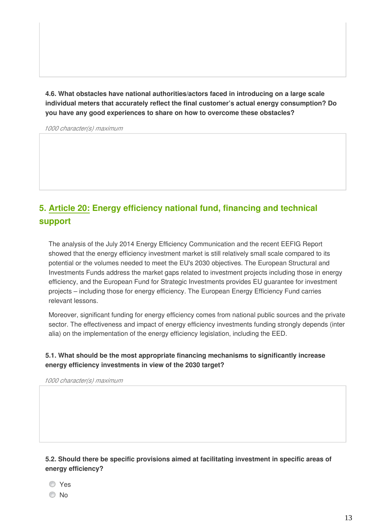**4.6. What obstacles have national authorities/actors faced in introducing on a large scale individual meters that accurately reflect the final customer's actual energy consumption? Do you have any good experiences to share on how to overcome these obstacles?**

*1000 character(s) maximum* 

# **5. Article 20: Energy efficiency national fund, financing and technical support**

The analysis of the July 2014 Energy Efficiency Communication and the recent EEFIG Report showed that the energy efficiency investment market is still relatively small scale compared to its potential or the volumes needed to meet the EU's 2030 objectives. The European Structural and Investments Funds address the market gaps related to investment projects including those in energy efficiency, and the European Fund for Strategic Investments provides EU guarantee for investment projects – including those for energy efficiency. The European Energy Efficiency Fund carries relevant lessons.

Moreover, significant funding for energy efficiency comes from national public sources and the private sector. The effectiveness and impact of energy efficiency investments funding strongly depends (inter alia) on the implementation of the energy efficiency legislation, including the EED.

### **5.1. What should be the most appropriate financing mechanisms to significantly increase energy efficiency investments in view of the 2030 target?**

*1000 character(s) maximum* 

**5.2. Should there be specific provisions aimed at facilitating investment in specific areas of energy efficiency?** 

- **O**Yes
- © No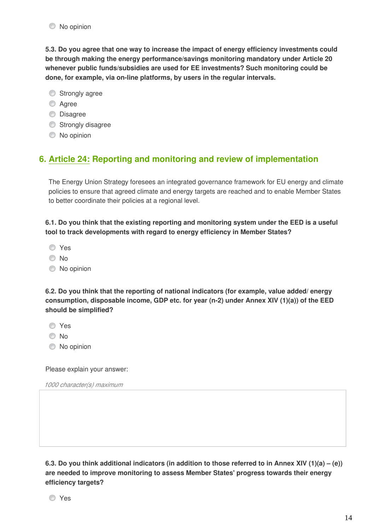**5.3. Do you agree that one way to increase the impact of energy efficiency investments could be through making the energy performance/savings monitoring mandatory under Article 20 whenever public funds/subsidies are used for EE investments? Such monitoring could be done, for example, via on-line platforms, by users in the regular intervals.**

- Strongly agree
- **Agree**
- **Disagree**
- Strongly disagree
- $\bullet$  No opinion

### **6. Article 24: Reporting and monitoring and review of implementation**

The Energy Union Strategy foresees an integrated governance framework for EU energy and climate policies to ensure that agreed climate and energy targets are reached and to enable Member States to better coordinate their policies at a regional level.

**6.1. Do you think that the existing reporting and monitoring system under the EED is a useful tool to track developments with regard to energy efficiency in Member States?** 

- Yes
- <sup>O</sup>No
- $\bullet$  No opinion

**6.2. Do you think that the reporting of national indicators (for example, value added/ energy consumption, disposable income, GDP etc. for year (n-2) under Annex XIV (1)(a)) of the EED should be simplified?**

- Yes
- No
- $\circledcirc$  No opinion

Please explain your answer:

*1000 character(s) maximum* 

**6.3. Do you think additional indicators (in addition to those referred to in Annex XIV (1)(a) – (e)) are needed to improve monitoring to assess Member States' progress towards their energy efficiency targets?**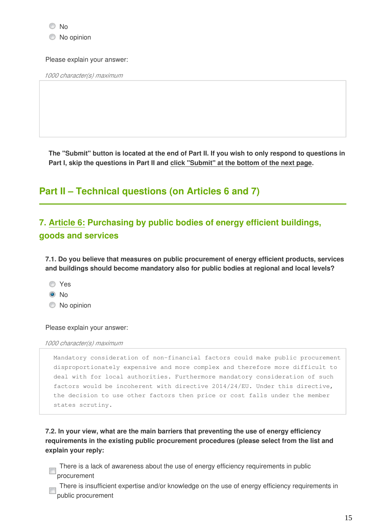C No opinion

#### Please explain your answer:

*1000 character(s) maximum* 

**The "Submit" button is located at the end of Part II. If you wish to only respond to questions in Part I, skip the questions in Part II and click "Submit" at the bottom of the next page.**

# **Part II – Technical questions (on Articles 6 and 7)**

# **7. Article 6: Purchasing by public bodies of energy efficient buildings, goods and services**

**7.1. Do you believe that measures on public procurement of energy efficient products, services and buildings should become mandatory also for public bodies at regional and local levels?** 

- Yes
- <sup>O</sup>No
- $\bullet$  No opinion

#### Please explain your answer:

#### *1000 character(s) maximum*

```
Mandatory consideration of non-financial factors could make public procurement
disproportionately expensive and more complex and therefore more difficult to
deal with for local authorities. Furthermore mandatory consideration of such
factors would be incoherent with directive 2014/24/EU. Under this directive,
the decision to use other factors then price or cost falls under the member
states scrutiny.
```
**7.2. In your view, what are the main barriers that preventing the use of energy efficiency requirements in the existing public procurement procedures (please select from the list and explain your reply:**

There is a lack of awareness about the use of energy efficiency requirements in public procurement

There is insufficient expertise and/or knowledge on the use of energy efficiency requirements in public procurement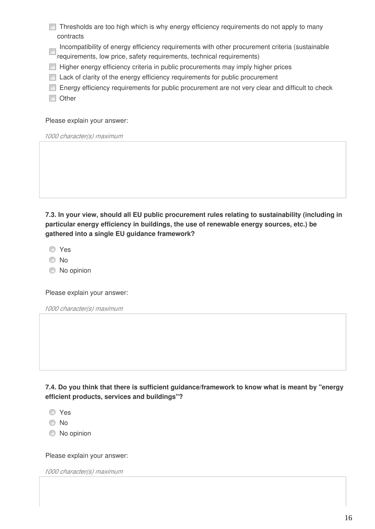|           |  |  | Thresholds are too high which is why energy efficiency requirements do not apply to many |  |
|-----------|--|--|------------------------------------------------------------------------------------------|--|
| contracts |  |  |                                                                                          |  |

Incompatibility of energy efficiency requirements with other procurement criteria (sustainable

- requirements, low price, safety requirements, technical requirements)
- **Higher energy efficiency criteria in public procurements may imply higher prices**
- **Lack of clarity of the energy efficiency requirements for public procurement**
- **Energy efficiency requirements for public procurement are not very clear and difficult to check**
- **Other**

Please explain your answer:

*1000 character(s) maximum* 

**7.3. In your view, should all EU public procurement rules relating to sustainability (including in particular energy efficiency in buildings, the use of renewable energy sources, etc.) be gathered into a single EU guidance framework?** 

Yes

- © No
- $\bullet$  No opinion

Please explain your answer:

*1000 character(s) maximum* 

**7.4. Do you think that there is sufficient guidance/framework to know what is meant by "energy efficient products, services and buildings"?**

Yes

No

 $\bullet$  No opinion

Please explain your answer: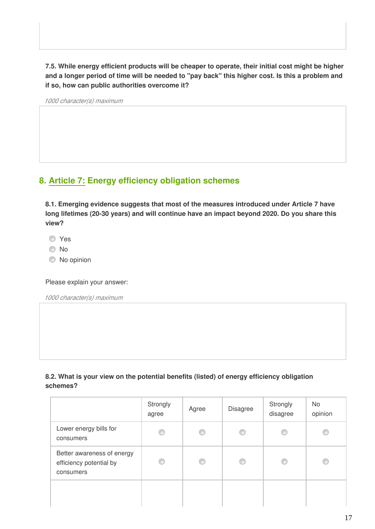**7.5. While energy efficient products will be cheaper to operate, their initial cost might be higher and a longer period of time will be needed to "pay back" this higher cost. Is this a problem and if so, how can public authorities overcome it?**

*1000 character(s) maximum* 

## **8. Article 7: Energy efficiency obligation schemes**

**8.1. Emerging evidence suggests that most of the measures introduced under Article 7 have long lifetimes (20-30 years) and will continue have an impact beyond 2020. Do you share this view?** 

**O** Yes

No

 $\bullet$  No opinion

Please explain your answer:

*1000 character(s) maximum* 

### **8.2. What is your view on the potential benefits (listed) of energy efficiency obligation schemes?**

|                                                                    | Strongly<br>agree | Agree | <b>Disagree</b> | Strongly<br>disagree | No<br>opinion |
|--------------------------------------------------------------------|-------------------|-------|-----------------|----------------------|---------------|
| Lower energy bills for<br>consumers                                | O                 | C     | C               |                      |               |
| Better awareness of energy<br>efficiency potential by<br>consumers | C                 | O     | O               |                      |               |
|                                                                    |                   |       |                 |                      |               |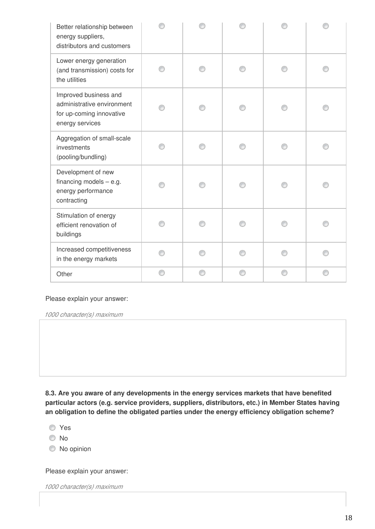| Better relationship between<br>energy suppliers,<br>distributors and customers                     |  |  |  |
|----------------------------------------------------------------------------------------------------|--|--|--|
| Lower energy generation<br>(and transmission) costs for<br>the utilities                           |  |  |  |
| Improved business and<br>administrative environment<br>for up-coming innovative<br>energy services |  |  |  |
| Aggregation of small-scale<br>investments<br>(pooling/bundling)                                    |  |  |  |
| Development of new<br>financing models $-$ e.g.<br>energy performance<br>contracting               |  |  |  |
| Stimulation of energy<br>efficient renovation of<br>buildings                                      |  |  |  |
| Increased competitiveness<br>in the energy markets                                                 |  |  |  |
| Other                                                                                              |  |  |  |

Please explain your answer:

*1000 character(s) maximum* 

**8.3. Are you aware of any developments in the energy services markets that have benefited particular actors (e.g. service providers, suppliers, distributors, etc.) in Member States having an obligation to define the obligated parties under the energy efficiency obligation scheme?**

Yes

No

 $\bullet$  No opinion

Please explain your answer: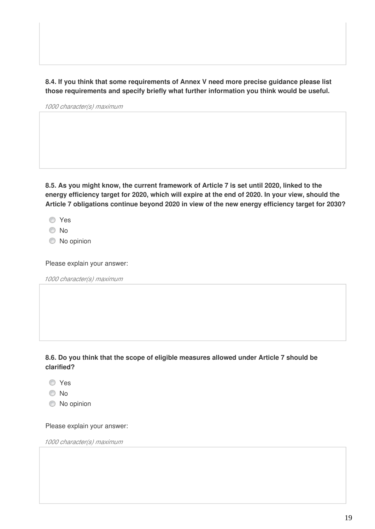**8.4. If you think that some requirements of Annex V need more precise guidance please list those requirements and specify briefly what further information you think would be useful.**

*1000 character(s) maximum* 

**8.5. As you might know, the current framework of Article 7 is set until 2020, linked to the energy efficiency target for 2020, which will expire at the end of 2020. In your view, should the Article 7 obligations continue beyond 2020 in view of the new energy efficiency target for 2030?**

Yes

- O No
- $\bullet$  No opinion

Please explain your answer:

*1000 character(s) maximum* 

### **8.6. Do you think that the scope of eligible measures allowed under Article 7 should be clarified?**

- **O** Yes
- <sup>O</sup>No
- $\bullet$  No opinion

#### Please explain your answer: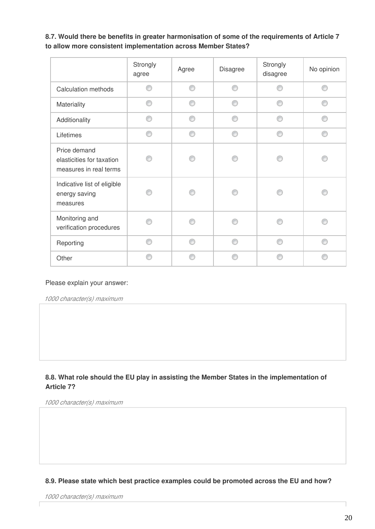### **8.7. Would there be benefits in greater harmonisation of some of the requirements of Article 7 to allow more consistent implementation across Member States?**

|                                                                     | Strongly<br>agree | Agree | <b>Disagree</b> | Strongly<br>disagree | No opinion |
|---------------------------------------------------------------------|-------------------|-------|-----------------|----------------------|------------|
| Calculation methods                                                 | ⋒                 | ⋒     | ⋒               | A                    | ⋒          |
| Materiality                                                         | ⋒                 | ⋒     | ⋒               | ⋒                    |            |
| Additionality                                                       | ⋒                 | ⋒     | ⋒               | A                    |            |
| Lifetimes                                                           | ⋒                 | ⋒     | ⋒               | A                    |            |
| Price demand<br>elasticities for taxation<br>measures in real terms |                   |       |                 |                      |            |
| Indicative list of eligible<br>energy saving<br>measures            |                   |       |                 |                      |            |
| Monitoring and<br>verification procedures                           |                   |       |                 |                      |            |
| Reporting                                                           | ⋒                 | ⋒     | ⋒               | ⋒                    |            |
| Other                                                               |                   |       |                 |                      |            |

#### Please explain your answer:

*1000 character(s) maximum* 

### **8.8. What role should the EU play in assisting the Member States in the implementation of Article 7?**

*1000 character(s) maximum* 

### **8.9. Please state which best practice examples could be promoted across the EU and how?**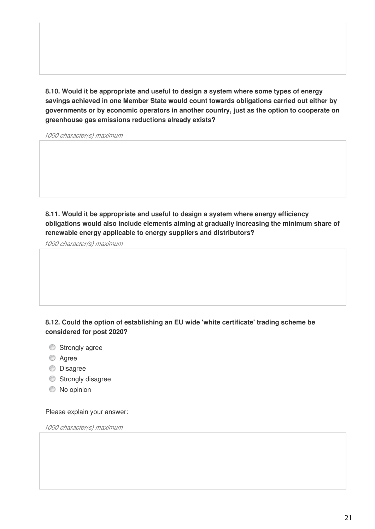**8.10. Would it be appropriate and useful to design a system where some types of energy savings achieved in one Member State would count towards obligations carried out either by governments or by economic operators in another country, just as the option to cooperate on greenhouse gas emissions reductions already exists?**

*1000 character(s) maximum* 

**8.11. Would it be appropriate and useful to design a system where energy efficiency obligations would also include elements aiming at gradually increasing the minimum share of renewable energy applicable to energy suppliers and distributors?**

*1000 character(s) maximum* 

### **8.12. Could the option of establishing an EU wide 'white certificate' trading scheme be considered for post 2020?**

- Strongly agree
- **Agree**
- **O** Disagree
- Strongly disagree
- $\bullet$  No opinion

Please explain your answer: